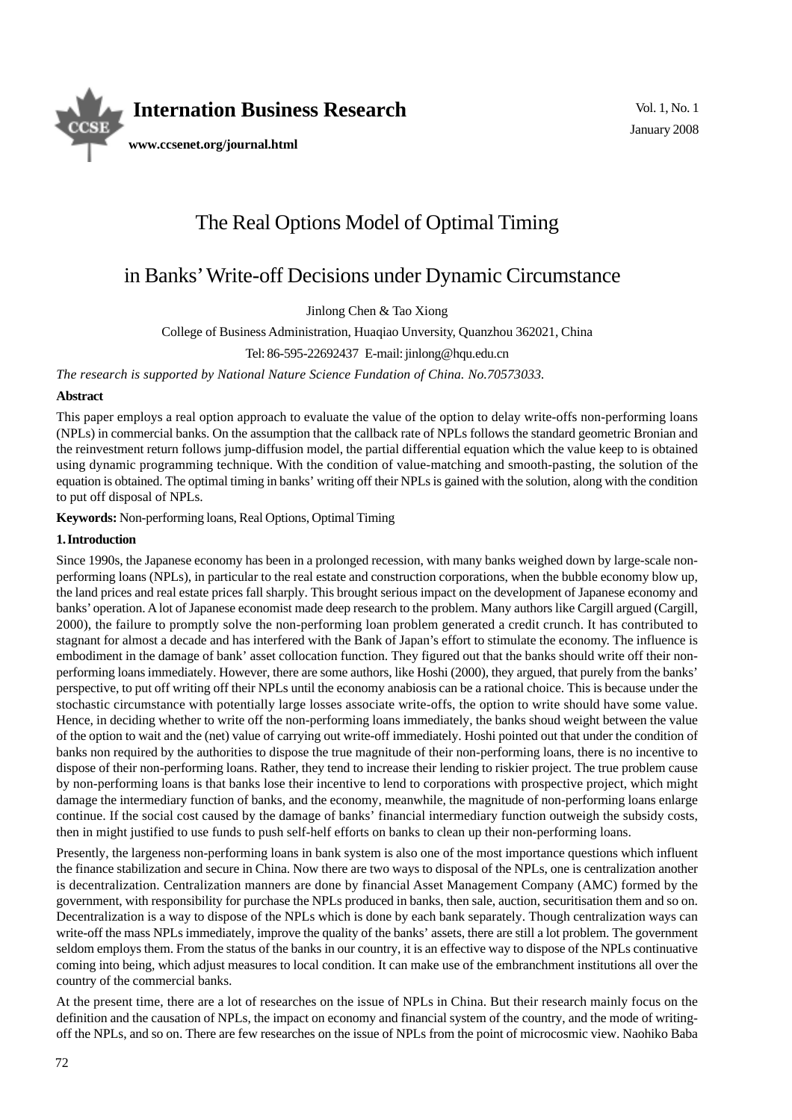

# The Real Options Model of Optimal Timing

## in Banks' Write-off Decisions under Dynamic Circumstance

Jinlong Chen & Tao Xiong

College of Business Administration, Huaqiao Unversity, Quanzhou 362021, China

Tel: 86-595-22692437 E-mail: jinlong@hqu.edu.cn

*The research is supported by National Nature Science Fundation of China. No.70573033.*

## **Abstract**

This paper employs a real option approach to evaluate the value of the option to delay write-offs non-performing loans (NPLs) in commercial banks. On the assumption that the callback rate of NPLs follows the standard geometric Bronian and the reinvestment return follows jump-diffusion model, the partial differential equation which the value keep to is obtained using dynamic programming technique. With the condition of value-matching and smooth-pasting, the solution of the equation is obtained. The optimal timing in banks' writing off their NPLs is gained with the solution, along with the condition to put off disposal of NPLs.

**Keywords:** Non-performing loans, Real Options, Optimal Timing

## **1. Introduction**

Since 1990s, the Japanese economy has been in a prolonged recession, with many banks weighed down by large-scale nonperforming loans (NPLs), in particular to the real estate and construction corporations, when the bubble economy blow up, the land prices and real estate prices fall sharply. This brought serious impact on the development of Japanese economy and banks' operation. A lot of Japanese economist made deep research to the problem. Many authors like Cargill argued (Cargill, 2000), the failure to promptly solve the non-performing loan problem generated a credit crunch. It has contributed to stagnant for almost a decade and has interfered with the Bank of Japan's effort to stimulate the economy. The influence is embodiment in the damage of bank' asset collocation function. They figured out that the banks should write off their nonperforming loans immediately. However, there are some authors, like Hoshi (2000), they argued, that purely from the banks' perspective, to put off writing off their NPLs until the economy anabiosis can be a rational choice. This is because under the stochastic circumstance with potentially large losses associate write-offs, the option to write should have some value. Hence, in deciding whether to write off the non-performing loans immediately, the banks shoud weight between the value of the option to wait and the (net) value of carrying out write-off immediately. Hoshi pointed out that under the condition of banks non required by the authorities to dispose the true magnitude of their non-performing loans, there is no incentive to dispose of their non-performing loans. Rather, they tend to increase their lending to riskier project. The true problem cause by non-performing loans is that banks lose their incentive to lend to corporations with prospective project, which might damage the intermediary function of banks, and the economy, meanwhile, the magnitude of non-performing loans enlarge continue. If the social cost caused by the damage of banks' financial intermediary function outweigh the subsidy costs, then in might justified to use funds to push self-helf efforts on banks to clean up their non-performing loans.

Presently, the largeness non-performing loans in bank system is also one of the most importance questions which influent the finance stabilization and secure in China. Now there are two ways to disposal of the NPLs, one is centralization another is decentralization. Centralization manners are done by financial Asset Management Company (AMC) formed by the government, with responsibility for purchase the NPLs produced in banks, then sale, auction, securitisation them and so on. Decentralization is a way to dispose of the NPLs which is done by each bank separately. Though centralization ways can write-off the mass NPLs immediately, improve the quality of the banks' assets, there are still a lot problem. The government seldom employs them. From the status of the banks in our country, it is an effective way to dispose of the NPLs continuative coming into being, which adjust measures to local condition. It can make use of the embranchment institutions all over the country of the commercial banks.

At the present time, there are a lot of researches on the issue of NPLs in China. But their research mainly focus on the definition and the causation of NPLs, the impact on economy and financial system of the country, and the mode of writingoff the NPLs, and so on. There are few researches on the issue of NPLs from the point of microcosmic view. Naohiko Baba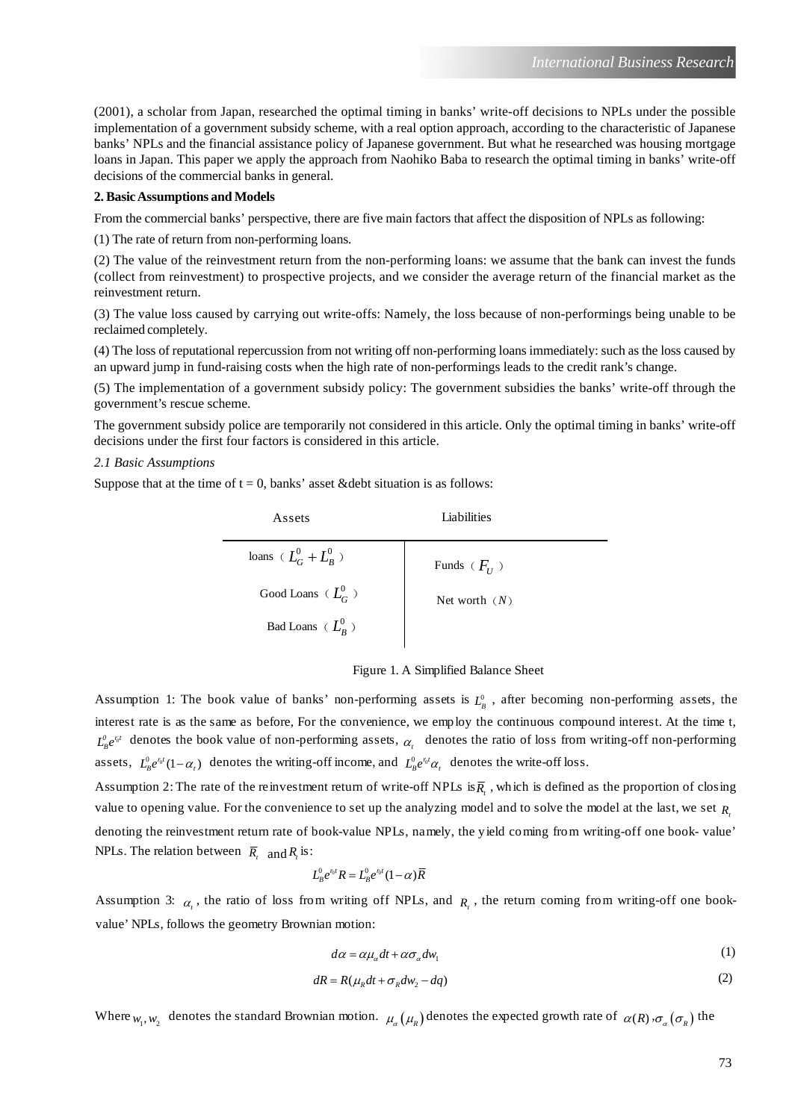(2001), a scholar from Japan, researched the optimal timing in banks' write-off decisions to NPLs under the possible implementation of a government subsidy scheme, with a real option approach, according to the characteristic of Japanese banks' NPLs and the financial assistance policy of Japanese government. But what he researched was housing mortgage loans in Japan. This paper we apply the approach from Naohiko Baba to research the optimal timing in banks' write-off decisions of the commercial banks in general.

#### **2. Basic Assumptions and Models**

From the commercial banks' perspective, there are five main factors that affect the disposition of NPLs as following:

(1) The rate of return from non-performing loans.

(2) The value of the reinvestment return from the non-performing loans: we assume that the bank can invest the funds (collect from reinvestment) to prospective projects, and we consider the average return of the financial market as the reinvestment return.

(3) The value loss caused by carrying out write-offs: Namely, the loss because of non-performings being unable to be reclaimed completely.

(4) The loss of reputational repercussion from not writing off non-performing loans immediately: such as the loss caused by an upward jump in fund-raising costs when the high rate of non-performings leads to the credit rank's change.

(5) The implementation of a government subsidy policy: The government subsidies the banks' write-off through the government's rescue scheme.

The government subsidy police are temporarily not considered in this article. Only the optimal timing in banks' write-off decisions under the first four factors is considered in this article.

#### *2.1 Basic Assumptions*

Suppose that at the time of  $t = 0$ , banks' asset &debt situation is as follows:

| Assets                    | Liabilities        |
|---------------------------|--------------------|
| loans ( $L_G^0 + L_R^0$ ) | Funds ( $F_{II}$ ) |
| Good Loans ( $L_G^0$ )    | Net worth $(N)$    |
| Bad Loans ( $L_{R}^{0}$ ) |                    |

Figure 1. A Simplified Balance Sheet

Assumption 1: The book value of banks' non-performing assets is  $L^0_B$ , after becoming non-performing assets, the interest rate is as the same as before, For the convenience, we employ the continuous compound interest. At the time t,  $L^0_B e^{r}$  denotes the book value of non-performing assets,  $\alpha_t$  denotes the ratio of loss from writing-off non-performing assets,  $L_{B}^{0}e^{r_0t}(1-\alpha_t)$  denotes the writing-off income, and  $L_{B}^{0}e^{r_0t}\alpha_t$  denotes the write-off loss.

Assumption 2: The rate of the reinvestment return of write-off NPLs is  $\overline{R}_t$ , which is defined as the proportion of closing value to opening value. For the convenience to set up the analyzing model and to solve the model at the last, we set *R<sup>t</sup>* denoting the reinvestment return rate of book-value NPLs, namely, the yield coming from writing-off one book- value' NPLs. The relation between  $\overline{R}_t$  and  $R_t$  is:

$$
L_B^0 e^{r_0 t} R = L_B^0 e^{r_0 t} (1 - \alpha) \overline{R}
$$

Assumption 3:  $\alpha_t$ , the ratio of loss from writing off NPLs, and  $R_t$ , the return coming from writing-off one bookvalue' NPLs, follows the geometry Brownian motion:

$$
d\alpha = \alpha \mu_{\alpha} dt + \alpha \sigma_{\alpha} dw_1 \tag{1}
$$

$$
dR = R(\mu_R dt + \sigma_R dw_2 - dq) \tag{2}
$$

Where  $w_1, w_2$  denotes the standard Brownian motion.  $\mu_\alpha(\mu_R)$  denotes the expected growth rate of  $\alpha(R)$  ,  $\sigma_\alpha(\sigma_R)$  the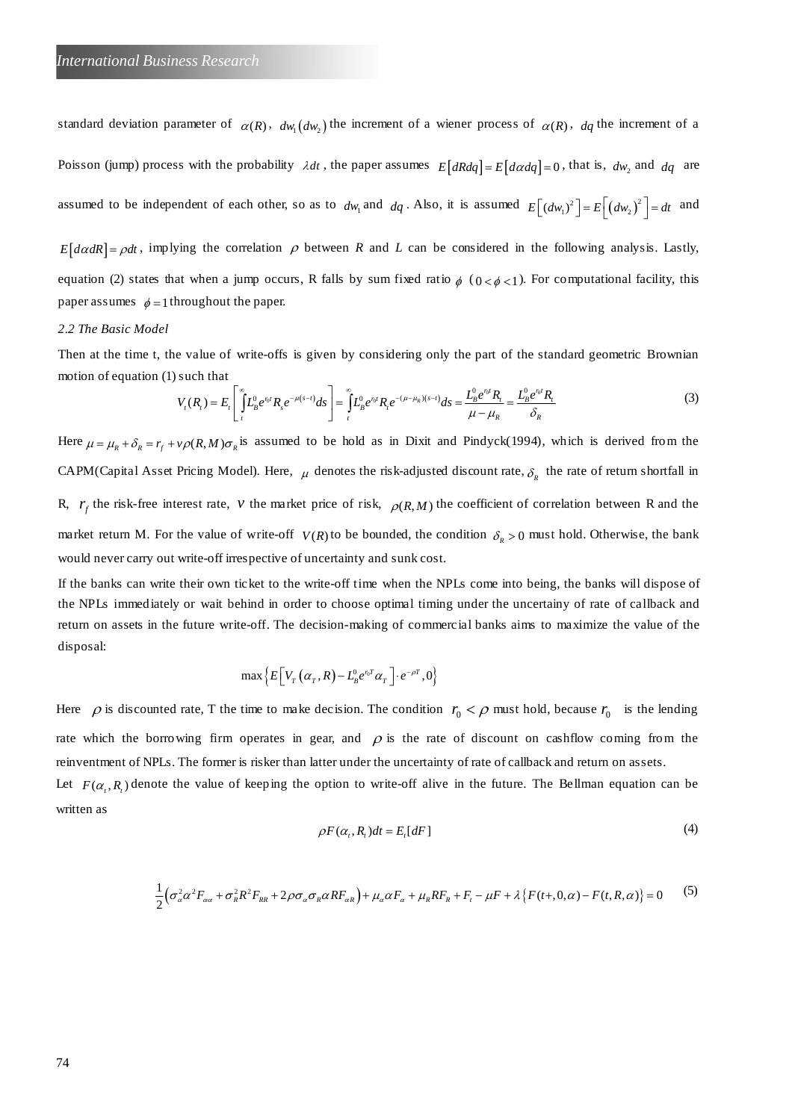standard deviation parameter of  $\alpha(R)$ ,  $dw_1(dw_2)$  the increment of a wiener process of  $\alpha(R)$ ,  $dq$  the increment of a Poisson (jump) process with the probability  $\lambda dt$ , the paper assumes  $E[dRdq] = E[d\alpha dq] = 0$ , that is,  $dw_2$  and  $dq$  are assumed to be independent of each other, so as to  $dw_1$  and  $dq$ . Also, it is assumed  $E[(dw_1)^2] = E[(dw_2)^2] = dt$  and

 $E[d\alpha dR] = \rho dt$ , implying the correlation  $\rho$  between *R* and *L* can be considered in the following analysis. Lastly, equation (2) states that when a jump occurs, R falls by sum fixed ratio  $\phi$  ( $0 < \phi < 1$ ). For computational facility, this paper assumes  $\phi = 1$  throughout the paper.

## *2.2 The Basic Model*

Then at the time t, the value of write-offs is given by considering only the part of the standard geometric Brownian motion of equation (1) such that

$$
V_t(R_t) = E_t \left[ \int_t^{\infty} L_B^0 e^{r_0 t} R_s e^{-\mu(s-t)} ds \right] = \int_t^{\infty} L_B^0 e^{r_0 t} R_t e^{-(\mu - \mu_R)(s-t)} ds = \frac{L_B^0 e^{r_0 t} R_t}{\mu - \mu_R} = \frac{L_B^0 e^{r_0 t} R_t}{\delta_R}
$$
(3)

Here  $\mu = \mu_R + \delta_R = r_f + v \rho(R, M) \sigma_R$  is assumed to be hold as in Dixit and Pindyck(1994), which is derived from the CAPM(Capital Asset Pricing Model). Here,  $\mu$  denotes the risk-adjusted discount rate,  $\delta_R$  the rate of return shortfall in R,  $r_f$  the risk-free interest rate, *v* the market price of risk,  $\rho(R,M)$  the coefficient of correlation between R and the market return M. For the value of write-off  $V(R)$  to be bounded, the condition  $\delta_R > 0$  must hold. Otherwise, the bank would never carry out write-off irrespective of uncertainty and sunk cost.

If the banks can write their own ticket to the write-off time when the NPLs come into being, the banks will dispose of the NPLs immediately or wait behind in order to choose optimal timing under the uncertainy of rate of callback and return on assets in the future write-off. The decision-making of commercial banks aims to maximize the value of the disposal:

$$
\max \left\{ E \left[ V_T \left( \alpha_T, R \right) - L_B^0 e^{r_0 T} \alpha_T \right] \cdot e^{-\rho T}, 0 \right\}
$$

Here  $\rho$  is discounted rate, T the time to make decision. The condition  $r_0 < \rho$  must hold, because  $r_0$  is the lending rate which the borrowing firm operates in gear, and  $\rho$  is the rate of discount on cashflow coming from the reinventment of NPLs. The former is risker than latter under the uncertainty of rate of callback and return on assets.

Let  $F(\alpha_i, R_i)$  denote the value of keeping the option to write-off alive in the future. The Bellman equation can be written as

$$
\rho F(\alpha_t, R_t)dt = E_t[dF] \tag{4}
$$

$$
\frac{1}{2} \left( \sigma_a^2 \alpha^2 F_{\alpha \alpha} + \sigma_R^2 R^2 F_{RR} + 2 \rho \sigma_a \sigma_R \alpha R F_{\alpha R} \right) + \mu_a \alpha F_a + \mu_R R F_R + F_t - \mu F + \lambda \left\{ F(t+,0,\alpha) - F(t,R,\alpha) \right\} = 0 \tag{5}
$$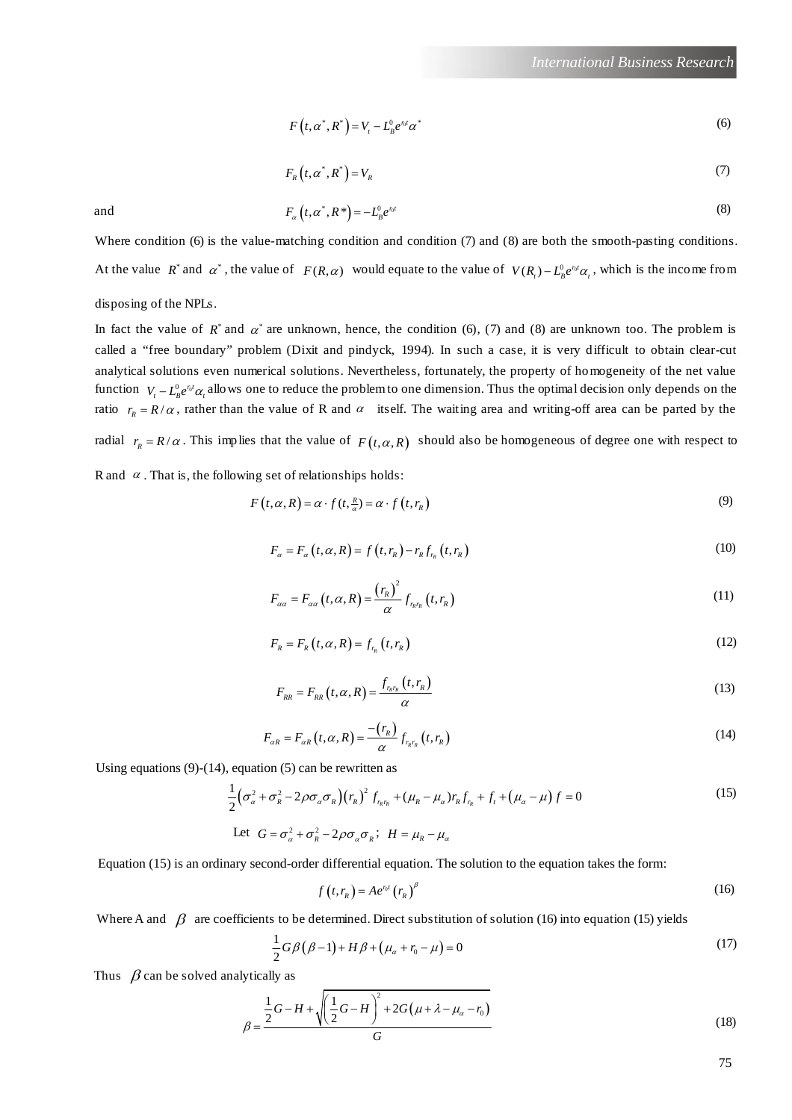$$
F(t, \alpha^*, R^*) = V_t - L_b^0 e^{r_0 t} \alpha^*
$$
\n<sup>(6)</sup>

$$
F_R(t, \alpha^*, R^*) = V_R \tag{7}
$$

and 
$$
F_{\alpha}\left(t,\alpha^*,R^*\right)=-L_B^0e^{r_0t}
$$
 (8)

Where condition (6) is the value-matching condition and condition (7) and (8) are both the smooth-pasting conditions. At the value  $R^*$  and  $\alpha^*$ , the value of  $F(R, \alpha)$  would equate to the value of  $V(R_i) - L_B^0 e^{r_0 t} \alpha_i$ , which is the income from

disposing of the NPLs.

In fact the value of  $R^*$  and  $\alpha^*$  are unknown, hence, the condition (6), (7) and (8) are unknown too. The problem is called a "free boundary" problem (Dixit and pindyck, 1994). In such a case, it is very difficult to obtain clear-cut analytical solutions even numerical solutions. Nevertheless, fortunately, the property of homogeneity of the net value function  $V_t - L^0_B e^{r_0 t} \alpha_t$  allows one to reduce the problem to one dimension. Thus the optimal decision only depends on the ratio  $r_R = R/\alpha$ , rather than the value of R and  $\alpha$  itself. The waiting area and writing-off area can be parted by the radial  $r_R = R/\alpha$ . This implies that the value of  $F(t, \alpha, R)$  should also be homogeneous of degree one with respect to R and  $\alpha$ . That is, the following set of relationships holds:

$$
F(t, \alpha, R) = \alpha \cdot f(t, \frac{R}{\alpha}) = \alpha \cdot f(t, r_R)
$$
\n(9)

$$
F_{\alpha} = F_{\alpha}\left(t, \alpha, R\right) = f\left(t, r_{R}\right) - r_{R} f_{r_{R}}\left(t, r_{R}\right) \tag{10}
$$

$$
F_{\alpha\alpha} = F_{\alpha\alpha} \left( t, \alpha, R \right) = \frac{\left( r_{R} \right)^{2}}{\alpha} f_{r_{R}r_{R}} \left( t, r_{R} \right)
$$
\n(11)

$$
F_R = F_R(t, \alpha, R) = f_{r_R}(t, r_R)
$$
\n<sup>(12)</sup>

$$
F_{RR} = F_{RR}(t, \alpha, R) = \frac{f_{r_{R}r_{R}}(t, r_{R})}{\alpha}
$$
\n(13)

$$
F_{\alpha R} = F_{\alpha R} \left( t, \alpha, R \right) = \frac{-\left( r_{R} \right)}{\alpha} f_{r_{R} r_{R}} \left( t, r_{R} \right)
$$
\n(14)

Using equations  $(9)-(14)$ , equation  $(5)$  can be rewritten as

$$
\frac{1}{2} \left( \sigma_{\alpha}^2 + \sigma_{R}^2 - 2\rho \sigma_{\alpha} \sigma_{R} \right) \left( r_{R} \right)^2 f_{r_{R}r_{R}} + \left( \mu_{R} - \mu_{\alpha} \right) r_{R} f_{r_{R}} + f_{t} + \left( \mu_{\alpha} - \mu \right) f = 0 \tag{15}
$$

Let 
$$
G = \sigma_{\alpha}^2 + \sigma_R^2 - 2\rho\sigma_{\alpha}\sigma_R
$$
;  $H = \mu_R - \mu_{\alpha}$ 

Equation (15) is an ordinary second-order differential equation. The solution to the equation takes the form:

$$
f(t, r_R) = Ae^{r_0 t} (r_R)^\beta
$$
 (16)

Where A and  $\beta$  are coefficients to be determined. Direct substitution of solution (16) into equation (15) yields

$$
\frac{1}{2}G\beta(\beta-1) + H\beta + (\mu_{\alpha} + r_0 - \mu) = 0
$$
\n(17)

Thus  $\beta$  can be solved analytically as

$$
\beta = \frac{\frac{1}{2}G - H + \sqrt{\left(\frac{1}{2}G - H\right)^2 + 2G\left(\mu + \lambda - \mu_a - r_0\right)}}{G}
$$
\n(18)

75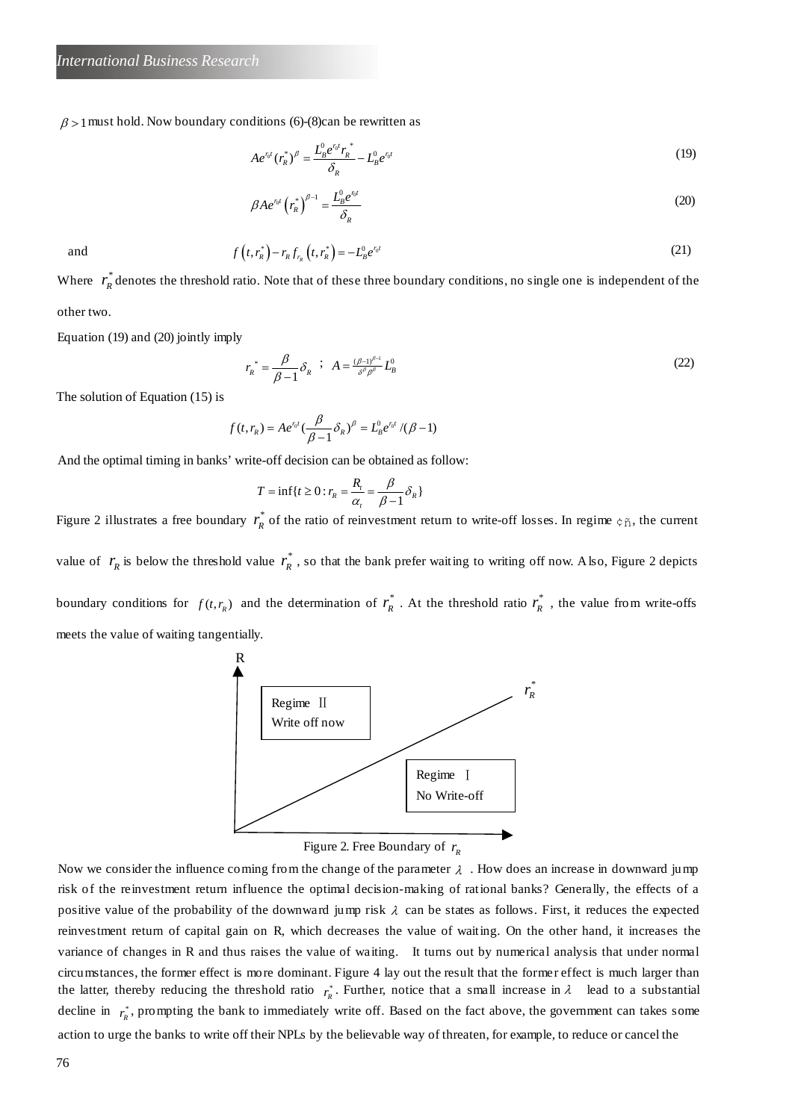$\beta$  > 1 must hold. Now boundary conditions (6)-(8)can be rewritten as

$$
Ae^{r_0t}(r_R^*)^{\beta} = \frac{L_B^0 e^{r_0t} r_R^*}{\delta_R} - L_B^0 e^{r_0t}
$$
\n(19)

$$
\beta A e^{r_0 t} \left( r_R^* \right)^{\beta - 1} = \frac{L_B^0 e^{r_0 t}}{\delta_R} \tag{20}
$$

and 
$$
f(t, r_R^*) - r_R f_{r_R}(t, r_R^*) = -L_B^0 e^{r_0 t}
$$
 (21)

Where  $r_R^*$  denotes the threshold ratio. Note that of these three boundary conditions, no single one is independent of the other two.

Equation (19) and (20) jointly imply

$$
r_R^* = \frac{\beta}{\beta - 1} \delta_R \quad ; \quad A = \frac{(\beta - 1)^{\beta - 1}}{\delta^\beta \beta^\beta} L_B^0 \tag{22}
$$

\*

The solution of Equation (15) is

$$
f(t, r_{R}) = Ae^{r_{0}t} (\frac{\beta}{\beta - 1} \delta_{R})^{\beta} = L_{B}^{0} e^{r_{0}t} / (\beta - 1)
$$

And the optimal timing in banks' write-off decision can be obtained as follow:

$$
T = \inf\{t \ge 0 : r_R = \frac{R_t}{\alpha_t} = \frac{\beta}{\beta - 1} \delta_R\}
$$

Figure 2 illustrates a free boundary  $r_R^*$  of the ratio of reinvestment return to write-off losses. In regime  $\zeta_{\tilde{\Pi}}$ , the current value of  $r_R$  is below the threshold value  $r_R^*$ , so that the bank prefer waiting to writing off now. Also, Figure 2 depicts boundary conditions for  $f(t, r_R)$  and the determination of  $r_R^*$ . At the threshold ratio  $r_R^*$ , the value from write-offs meets the value of waiting tangentially.



Figure 2. Free Boundary of *<sup>R</sup> r*

Now we consider the influence coming from the change of the parameter  $\lambda$ . How does an increase in downward jump risk of the reinvestment return influence the optimal decision-making of rational banks? Generally, the effects of a positive value of the probability of the downward jump risk  $\lambda$  can be states as follows. First, it reduces the expected reinvestment return of capital gain on R, which decreases the value of waiting. On the other hand, it increases the variance of changes in R and thus raises the value of waiting. It turns out by numerical analysis that under normal circumstances, the former effect is more dominant. Figure 4 lay out the result that the former effect is much larger than the latter, thereby reducing the threshold ratio  $r_R^*$ . Further, notice that a small increase in  $\lambda$  lead to a substantial decline in  $r_{R}^{*}$ , prompting the bank to immediately write off. Based on the fact above, the government can takes some action to urge the banks to write off their NPLs by the believable way of threaten, for example, to reduce or cancel the